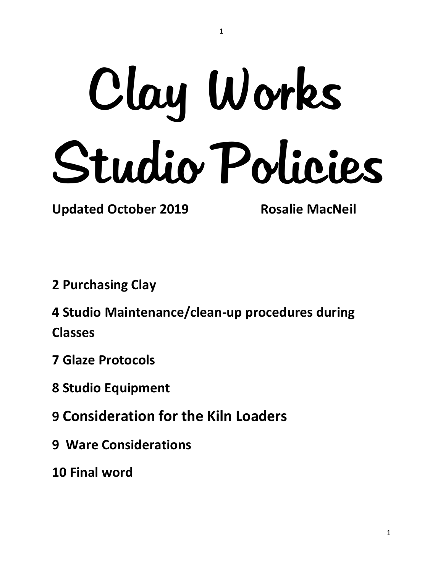# Clay Works Studio Policies

1

**Updated October 2019 Rosalie MacNeil**

**2 Purchasing Clay**

**4 Studio Maintenance/clean-up procedures during Classes**

- **7 Glaze Protocols**
- **8 Studio Equipment**
- **9 Consideration for the Kiln Loaders**
- **9 Ware Considerations**
- **10 Final word**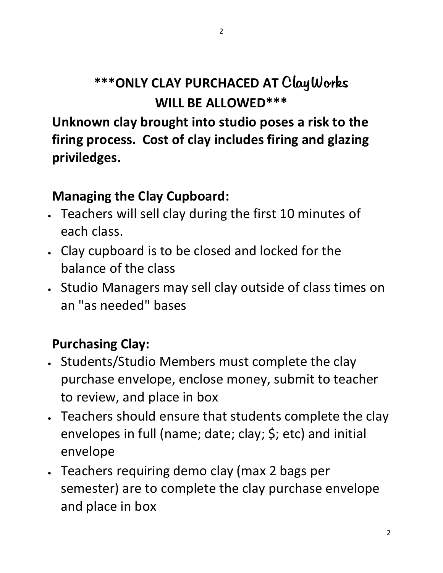## **\*\*\*ONLY CLAY PURCHACED AT** ClayWorks **WILL BE ALLOWED\*\*\***

**Unknown clay brought into studio poses a risk to the firing process. Cost of clay includes firing and glazing priviledges.**

#### **Managing the Clay Cupboard:**

- Teachers will sell clay during the first 10 minutes of each class.
- Clay cupboard is to be closed and locked for the balance of the class
- Studio Managers may sell clay outside of class times on an "as needed" bases

### **Purchasing Clay:**

- Students/Studio Members must complete the clay purchase envelope, enclose money, submit to teacher to review, and place in box
- Teachers should ensure that students complete the clay envelopes in full (name; date; clay; \$; etc) and initial envelope
- Teachers requiring demo clay (max 2 bags per semester) are to complete the clay purchase envelope and place in box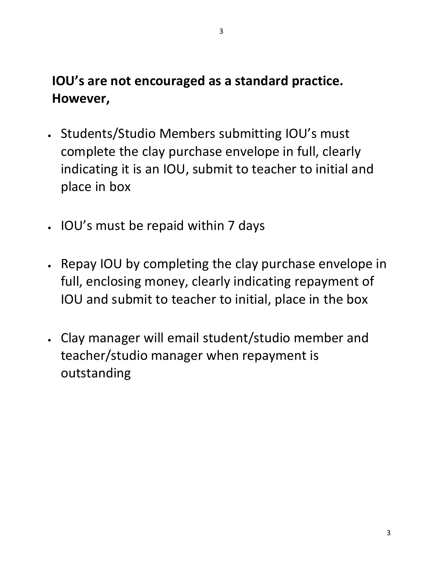### **IOU's are not encouraged as a standard practice. However,**

- Students/Studio Members submitting IOU's must complete the clay purchase envelope in full, clearly indicating it is an IOU, submit to teacher to initial and place in box
- IOU's must be repaid within 7 days
- Repay IOU by completing the clay purchase envelope in full, enclosing money, clearly indicating repayment of IOU and submit to teacher to initial, place in the box
- Clay manager will email student/studio member and teacher/studio manager when repayment is outstanding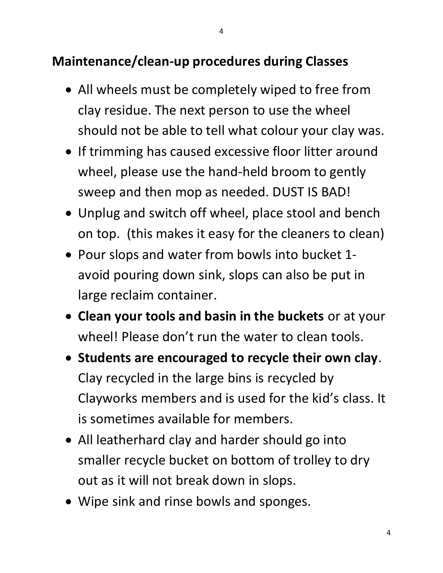#### **Maintenance/clean-up procedures during Classes**

- All wheels must be completely wiped to free from clay residue. The next person to use the wheel should not be able to tell what colour your clay was.
- If trimming has caused excessive floor litter around wheel, please use the hand-held broom to gently sweep and then mop as needed. DUST IS BAD!
- Unplug and switch off wheel, place stool and bench on top. (this makes it easy for the cleaners to clean)
- Pour slops and water from bowls into bucket 1 avoid pouring down sink, slops can also be put in large reclaim container.
- **Clean your tools and basin in the buckets** or at your wheel! Please don't run the water to clean tools.
- **Students are encouraged to recycle their own clay**. Clay recycled in the large bins is recycled by Clayworks members and is used for the kid's class. It is sometimes available for members.
- All leatherhard clay and harder should go into smaller recycle bucket on bottom of trolley to dry out as it will not break down in slops.
- Wipe sink and rinse bowls and sponges.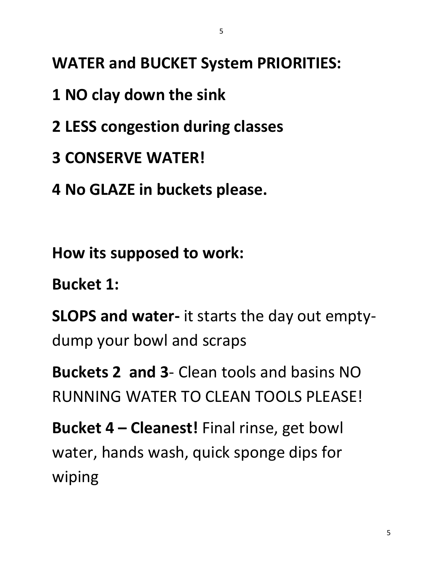- **1 NO clay down the sink**
- **2 LESS congestion during classes**
- **3 CONSERVE WATER!**
- **4 No GLAZE in buckets please.**

**How its supposed to work:**

**Bucket 1:**

**SLOPS and water-** it starts the day out emptydump your bowl and scraps

**Buckets 2 and 3**- Clean tools and basins NO RUNNING WATER TO CLEAN TOOLS PLEASE!

**Bucket 4 – Cleanest!** Final rinse, get bowl water, hands wash, quick sponge dips for wiping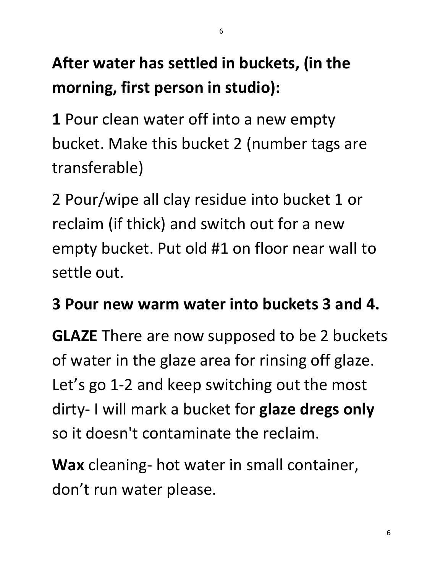# **After water has settled in buckets, (in the morning, first person in studio):**

**1** Pour clean water off into a new empty bucket. Make this bucket 2 (number tags are transferable)

2 Pour/wipe all clay residue into bucket 1 or reclaim (if thick) and switch out for a new empty bucket. Put old #1 on floor near wall to settle out.

## **3 Pour new warm water into buckets 3 and 4.**

**GLAZE** There are now supposed to be 2 buckets of water in the glaze area for rinsing off glaze. Let's go 1-2 and keep switching out the most dirty- I will mark a bucket for **glaze dregs only**  so it doesn't contaminate the reclaim.

**Wax** cleaning- hot water in small container, don't run water please.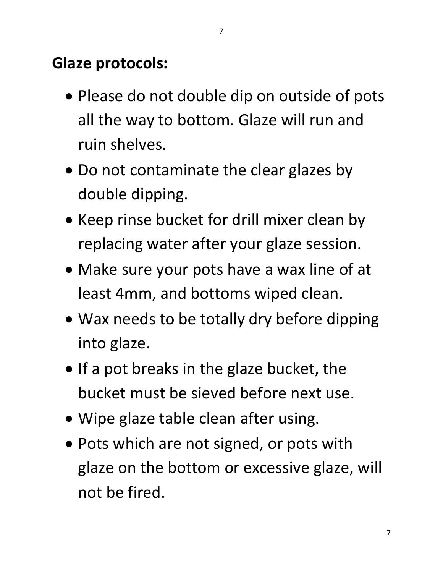## **Glaze protocols:**

- Please do not double dip on outside of pots all the way to bottom. Glaze will run and ruin shelves.
- Do not contaminate the clear glazes by double dipping.
- Keep rinse bucket for drill mixer clean by replacing water after your glaze session.
- Make sure your pots have a wax line of at least 4mm, and bottoms wiped clean.
- Wax needs to be totally dry before dipping into glaze.
- If a pot breaks in the glaze bucket, the bucket must be sieved before next use.
- Wipe glaze table clean after using.
- Pots which are not signed, or pots with glaze on the bottom or excessive glaze, will not be fired.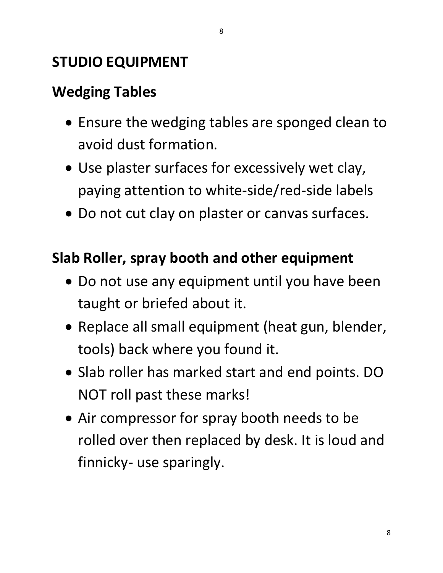### **STUDIO EQUIPMENT**

## **Wedging Tables**

- Ensure the wedging tables are sponged clean to avoid dust formation.
- Use plaster surfaces for excessively wet clay, paying attention to white-side/red-side labels
- Do not cut clay on plaster or canvas surfaces.

#### **Slab Roller, spray booth and other equipment**

- Do not use any equipment until you have been taught or briefed about it.
- Replace all small equipment (heat gun, blender, tools) back where you found it.
- Slab roller has marked start and end points. DO NOT roll past these marks!
- Air compressor for spray booth needs to be rolled over then replaced by desk. It is loud and finnicky- use sparingly.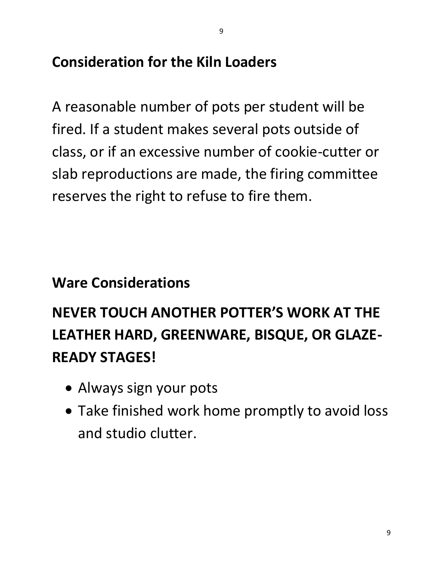A reasonable number of pots per student will be fired. If a student makes several pots outside of class, or if an excessive number of cookie-cutter or slab reproductions are made, the firing committee

9

reserves the right to refuse to fire them.

## **Ware Considerations**

## **NEVER TOUCH ANOTHER POTTER'S WORK AT THE LEATHER HARD, GREENWARE, BISQUE, OR GLAZE-READY STAGES!**

- Always sign your pots
- Take finished work home promptly to avoid loss and studio clutter.